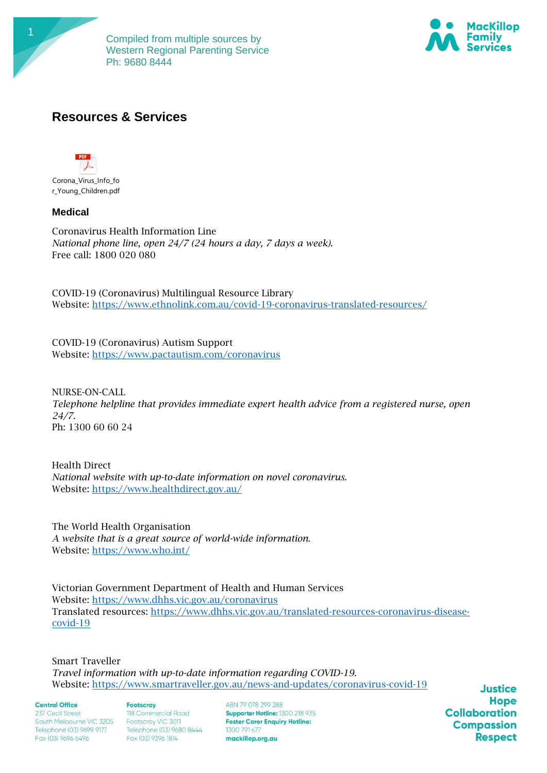



# **Resources & Services**



## **Medical**

Coronavirus Health Information Line *National phone line, open 24/7 (24 hours a day, 7 days a week).* Free call: 1800 020 080

COVID-19 (Coronavirus) Multilingual Resource Library Website:<https://www.ethnolink.com.au/covid-19-coronavirus-translated-resources/>

COVID-19 (Coronavirus) Autism Support Website: [https://www.pactautism.com/coronavirus](https://protect-au.mimecast.com/s/7jUpCP7yxOTKWRqmfzVB2V?domain=pactautism.com)

NURSE-ON-CALL *Telephone helpline that provides immediate expert health advice from a registered nurse, open 24/7.*  Ph: 1300 60 60 24

Health Direct *National website with up-to-date information on novel coronavirus.* Website:<https://www.healthdirect.gov.au/>

The World Health Organisation *A website that is a great source of world-wide information.* Website:<https://www.who.int/>

Victorian Government Department of Health and Human Services Website:<https://www.dhhs.vic.gov.au/coronavirus> Translated resources: [https://www.dhhs.vic.gov.au/translated-resources-coronavirus-disease](https://protect-au.mimecast.com/s/pNIOCk8v3AfOGgKET2U2EF?domain=dhhs.vic.gov.au)[covid-19](https://protect-au.mimecast.com/s/pNIOCk8v3AfOGgKET2U2EF?domain=dhhs.vic.gov.au)

Smart Traveller *Travel information with up-to-date information regarding COVID-19.* Website:<https://www.smartraveller.gov.au/news-and-updates/coronavirus-covid-19>

#### **Central Office**

237 Cecil Street South Melbourne VIC 3205 Telephone (03) 9699 9177 Fax (03) 9696 6496

**Footscrav** 118 Commercial Road Footscray VIC 3011 Telephone (03) 9680 8444 Fax (03) 9396 1814

ARN 79 078 299 288 Supporter Hotline: 1300 218 935 **Foster Carer Enquiry Hotline:** 1300 791 677 mackillop.org.au

**Justice Hope Collaboration Compassion Respect**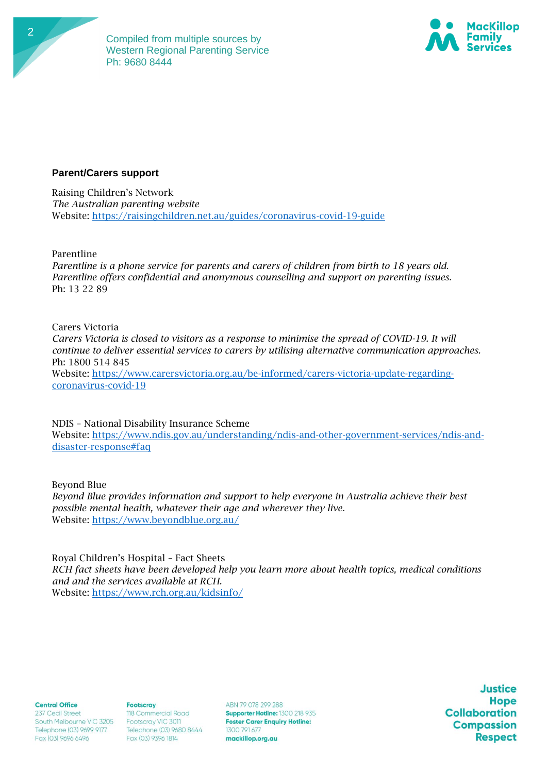



### **Parent/Carers support**

Raising Children's Network *The Australian parenting website* Website:<https://raisingchildren.net.au/guides/coronavirus-covid-19-guide>

Parentline

*Parentline is a phone service for parents and carers of children from birth to 18 years old. Parentline offers confidential and anonymous counselling and support on parenting issues.* Ph: 13 22 89

Carers Victoria

*Carers Victoria is closed to visitors as a response to minimise the spread of COVID-19. It will continue to deliver essential services to carers by utilising alternative communication approaches.*  Ph: 1800 514 845 Website: [https://www.carersvictoria.org.au/be-informed/carers-victoria-update-regarding](https://www.carersvictoria.org.au/be-informed/carers-victoria-update-regarding-coronavirus-covid-19)[coronavirus-covid-19](https://www.carersvictoria.org.au/be-informed/carers-victoria-update-regarding-coronavirus-covid-19)

NDIS – National Disability Insurance Scheme

Website: [https://www.ndis.gov.au/understanding/ndis-and-other-government-services/ndis-and](https://www.ndis.gov.au/understanding/ndis-and-other-government-services/ndis-and-disaster-response#faq)[disaster-response#faq](https://www.ndis.gov.au/understanding/ndis-and-other-government-services/ndis-and-disaster-response#faq)

Beyond Blue

*Beyond Blue provides information and support to help everyone in Australia achieve their best possible mental health, whatever their age and wherever they live.* Website:<https://www.beyondblue.org.au/>

Royal Children's Hospital – Fact Sheets *RCH fact sheets have been developed help you learn more about health topics, medical conditions and and the services available at RCH.* Website:<https://www.rch.org.au/kidsinfo/>

**Central Office** 

237 Cecil Street South Melbourne VIC 3205 Telephone (03) 9699 9177 Fax (03) 9696 6496

**Footscrav** 118 Commercial Road Footscray VIC 3011 Telephone (03) 9680 8444 Fax (03) 9396 1814

ARN 79 078 299 288 Supporter Hotline: 1300 218 935 **Foster Carer Enquiry Hotline:** 1300 791 677 mackillop.org.au

**Justice Hope Collaboration Compassion Respect**